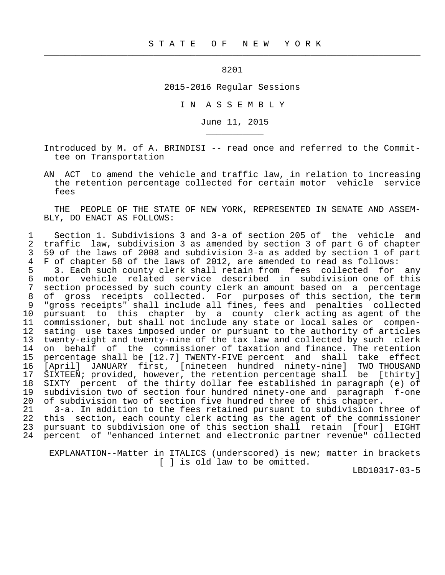8201

 $\frac{1}{2}$  , and the contribution of the contribution of the contribution of the contribution of the contribution of the contribution of the contribution of the contribution of the contribution of the contribution of the c

\_\_\_\_\_\_\_\_\_\_\_

2015-2016 Regular Sessions

I N A S S E M B L Y

June 11, 2015

 Introduced by M. of A. BRINDISI -- read once and referred to the Commit tee on Transportation

 AN ACT to amend the vehicle and traffic law, in relation to increasing the retention percentage collected for certain motor vehicle service fees

 THE PEOPLE OF THE STATE OF NEW YORK, REPRESENTED IN SENATE AND ASSEM- BLY, DO ENACT AS FOLLOWS:

1 Section 1. Subdivisions 3 and 3-a of section 205 of the vehicle and<br>2 traffic law, subdivision 3 as amended by section 3 of part G of chapter 2 traffic law, subdivision 3 as amended by section 3 of part G of chapter<br>3 59 of the laws of 2008 and subdivision 3-a as added by section 1 of part 3 59 of the laws of 2008 and subdivision 3-a as added by section 1 of part<br>4 F of chapter 58 of the laws of 2012, are amended to read as follows: 4 F of chapter 58 of the laws of 2012, are amended to read as follows:<br>5 3. Each such county clerk shall retain from fees collected for

5 3. Each such county clerk shall retain from fees collected for any<br>6 motor vehicle related service described in subdivision one of this 6 motor vehicle related service described in subdivision one of this 7 section processed by such county clerk an amount based on a percentage<br>8 of gross receipts collected. For purposes of this section, the term 8 of gross receipts collected. For purposes of this section, the term<br>9 "gross receipts" shall include all fines, fees and penalties collected "gross receipts" shall include all fines, fees and penalties collected 10 pursuant to this chapter by a county clerk acting as agent of the 11 commissioner, but shall not include any state or local sales or compen- 12 sating use taxes imposed under or pursuant to the authority of articles<br>13 twenty-eight and twenty-nine of the tax law and collected by such clerk 13 twenty-eight and twenty-nine of the tax law and collected by such clerk<br>14 on behalf of the commissioner of taxation and finance. The retention 14 on behalf of the commissioner of taxation and finance. The retention<br>15 percentage shall be [12.7] TWENTY-FIVE percent and shall take effect percentage shall be [12.7] TWENTY-FIVE percent and shall take effect 16 [April] JANUARY first, [nineteen hundred ninety-nine] TWO THOUSAND 17 SIXTEEN; provided, however, the retention percentage shall be [thirty]<br>18 SIXTY percent of the thirty dollar fee established in paragraph (e) of 18 SIXTY percent of the thirty dollar fee established in paragraph (e) of<br>19 subdivision two of section four hundred ninety-one and paragraph f-one 19 subdivision two of section four hundred ninety-one and paragraph f-one<br>20 of subdivision two of section five hundred three of this chapter. of subdivision two of section five hundred three of this chapter.

21 3-a. In addition to the fees retained pursuant to subdivision three of<br>22 this section, each county clerk acting as the agent of the commissioner 22 this section, each county clerk acting as the agent of the commissioner<br>23 pursuant to subdivision one of this section shall retain [four] EIGHT pursuant to subdivision one of this section shall retain [four] EIGHT 24 percent of "enhanced internet and electronic partner revenue" collected

 EXPLANATION--Matter in ITALICS (underscored) is new; matter in brackets [ ] is old law to be omitted.

LBD10317-03-5